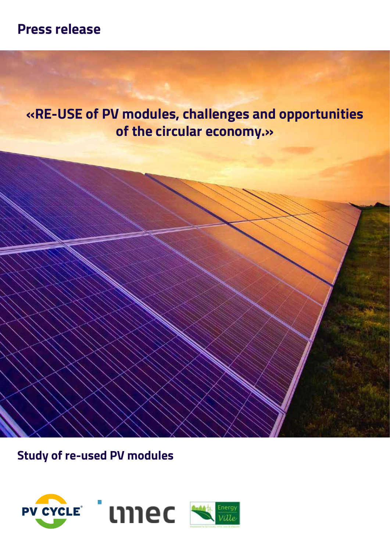# **Press release**

**«RE-USE of PV modules, challenges and opportunities of the circular economy.»**

**Study of re-used PV modules**

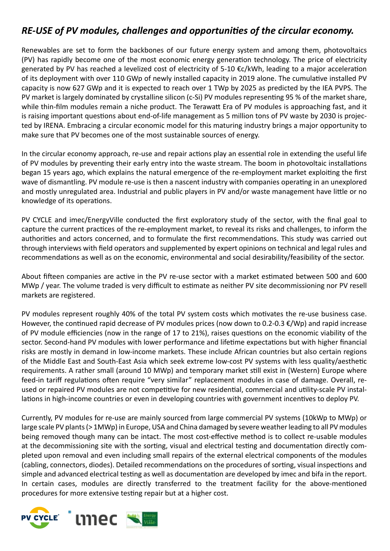# *RE-USE of PV modules, challenges and opportunities of the circular economy.*

Renewables are set to form the backbones of our future energy system and among them, photovoltaics (PV) has rapidly become one of the most economic energy generation technology. The price of electricity generated by PV has reached a levelized cost of electricity of 5-10 €c/kWh, leading to a major acceleration of its deployment with over 110 GWp of newly installed capacity in 2019 alone. The cumulative installed PV capacity is now 627 GWp and it is expected to reach over 1 TWp by 2025 as predicted by the IEA PVPS. The PV market is largely dominated by crystalline silicon (c-Si) PV modules representing 95 % of the market share, while thin-film modules remain a niche product. The Terawatt Era of PV modules is approaching fast, and it is raising important questions about end-of-life management as 5 million tons of PV waste by 2030 is projected by IRENA. Embracing a circular economic model for this maturing industry brings a major opportunity to make sure that PV becomes one of the most sustainable sources of energy.

In the circular economy approach, re-use and repair actions play an essential role in extending the useful life of PV modules by preventing their early entry into the waste stream. The boom in photovoltaic installations began 15 years ago, which explains the natural emergence of the re-employment market exploiting the first wave of dismantling. PV module re-use is then a nascent industry with companies operating in an unexplored and mostly unregulated area. Industrial and public players in PV and/or waste management have little or no knowledge of its operations.

PV CYCLE and imec/EnergyVille conducted the first exploratory study of the sector, with the final goal to capture the current practices of the re-employment market, to reveal its risks and challenges, to inform the authorities and actors concerned, and to formulate the first recommendations. This study was carried out through interviews with field operators and supplemented by expert opinions on technical and legal rules and recommendations as well as on the economic, environmental and social desirability/feasibility of the sector.

About fifteen companies are active in the PV re-use sector with a market estimated between 500 and 600 MWp / year. The volume traded is very difficult to estimate as neither PV site decommissioning nor PV resell markets are registered.

PV modules represent roughly 40% of the total PV system costs which motivates the re-use business case. However, the continued rapid decrease of PV modules prices (now down to 0.2-0.3 €/Wp) and rapid increase of PV module efficiencies (now in the range of 17 to 21%), raises questions on the economic viability of the sector. Second-hand PV modules with lower performance and lifetime expectations but with higher financial risks are mostly in demand in low-income markets. These include African countries but also certain regions of the Middle East and South-East Asia which seek extreme low-cost PV systems with less quality/aesthetic requirements. A rather small (around 10 MWp) and temporary market still exist in (Western) Europe where feed-in tariff regulations often require "very similar" replacement modules in case of damage. Overall, reused or repaired PV modules are not competitive for new residential, commercial and utility-scale PV installations in high-income countries or even in developing countries with government incentives to deploy PV.

Currently, PV modules for re-use are mainly sourced from large commercial PV systems (10kWp to MWp) or large scale PV plants (> 1MWp) in Europe, USA and China damaged by severe weather leading to all PV modules being removed though many can be intact. The most cost-effective method is to collect re-usable modules at the decommissioning site with the sorting, visual and electrical testing and documentation directly completed upon removal and even including small repairs of the external electrical components of the modules (cabling, connectors, diodes). Detailed recommendations on the procedures of sorting, visual inspections and simple and advanced electrical testing as well as documentation are developed by imec and bifa in the report. In certain cases, modules are directly transferred to the treatment facility for the above-mentioned procedures for more extensive testing repair but at a higher cost.

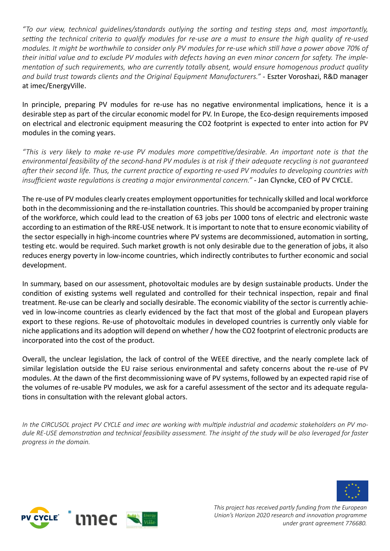*"To our view, technical guidelines/standards outlying the sorting and testing steps and, most importantly, setting the technical criteria to qualify modules for re-use are a must to ensure the high quality of re-used modules. It might be worthwhile to consider only PV modules for re-use which still have a power above 70% of their initial value and to exclude PV modules with defects having an even minor concern for safety. The implementation of such requirements, who are currently totally absent, would ensure homogenous product quality and build trust towards clients and the Original Equipment Manufacturers."* - Eszter Voroshazi, R&D manager at imec/EnergyVille.

In principle, preparing PV modules for re-use has no negative environmental implications, hence it is a desirable step as part of the circular economic model for PV. In Europe, the Eco-design requirements imposed on electrical and electronic equipment measuring the CO2 footprint is expected to enter into action for PV modules in the coming years.

*"This is very likely to make re-use PV modules more competitive/desirable. An important note is that the environmental feasibility of the second-hand PV modules is at risk if their adequate recycling is not guaranteed after their second life. Thus, the current practice of exporting re-used PV modules to developing countries with insufficient waste regulations is creating a major environmental concern."* - Jan Clyncke, CEO of PV CYCLE.

The re-use of PV modules clearly creates employment opportunities for technically skilled and local workforce both in the decommissioning and the re-installation countries. This should be accompanied by proper training of the workforce, which could lead to the creation of 63 jobs per 1000 tons of electric and electronic waste according to an estimation of the RRE-USE network. It is important to note that to ensure economic viability of the sector especially in high-income countries where PV systems are decommissioned, automation in sorting, testing etc. would be required. Such market growth is not only desirable due to the generation of jobs, it also reduces energy poverty in low-income countries, which indirectly contributes to further economic and social development.

In summary, based on our assessment, photovoltaic modules are by design sustainable products. Under the condition of existing systems well regulated and controlled for their technical inspection, repair and final treatment. Re-use can be clearly and socially desirable. The economic viability of the sector is currently achieved in low-income countries as clearly evidenced by the fact that most of the global and European players export to these regions. Re-use of photovoltaic modules in developed countries is currently only viable for niche applications and its adoption will depend on whether / how the CO2 footprint of electronic products are incorporated into the cost of the product.

Overall, the unclear legislation, the lack of control of the WEEE directive, and the nearly complete lack of similar legislation outside the EU raise serious environmental and safety concerns about the re-use of PV modules. At the dawn of the first decommissioning wave of PV systems, followed by an expected rapid rise of the volumes of re-usable PV modules, we ask for a careful assessment of the sector and its adequate regulations in consultation with the relevant global actors.

*In the CIRCUSOL project PV CYCLE and imec are working with multiple industrial and academic stakeholders on PV module RE-USE demonstration and technical feasibility assessment. The insight of the study will be also leveraged for faster progress in the domain.*





*This project has received partly funding from the European Union's Horizon 2020 research and innovation programme under grant agreement 776680.*